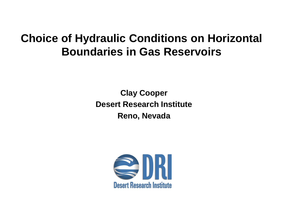## **Choice of Hydraulic Conditions on Horizontal Boundaries in Gas Reservoirs**

**Clay Cooper Desert Research Institute Reno, Nevada**

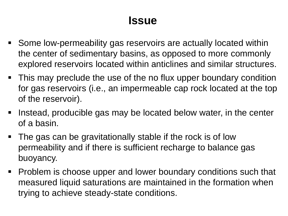## **Issue**

- Some low-permeability gas reservoirs are actually located within the center of sedimentary basins, as opposed to more commonly explored reservoirs located within anticlines and similar structures.
- This may preclude the use of the no flux upper boundary condition for gas reservoirs (i.e., an impermeable cap rock located at the top of the reservoir).
- If Instead, producible gas may be located below water, in the center of a basin.
- The gas can be gravitationally stable if the rock is of low permeability and if there is sufficient recharge to balance gas buoyancy.
- Problem is choose upper and lower boundary conditions such that measured liquid saturations are maintained in the formation when trying to achieve steady-state conditions.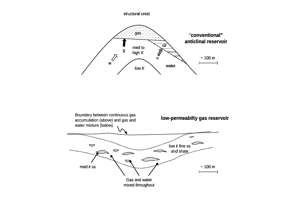structural crest